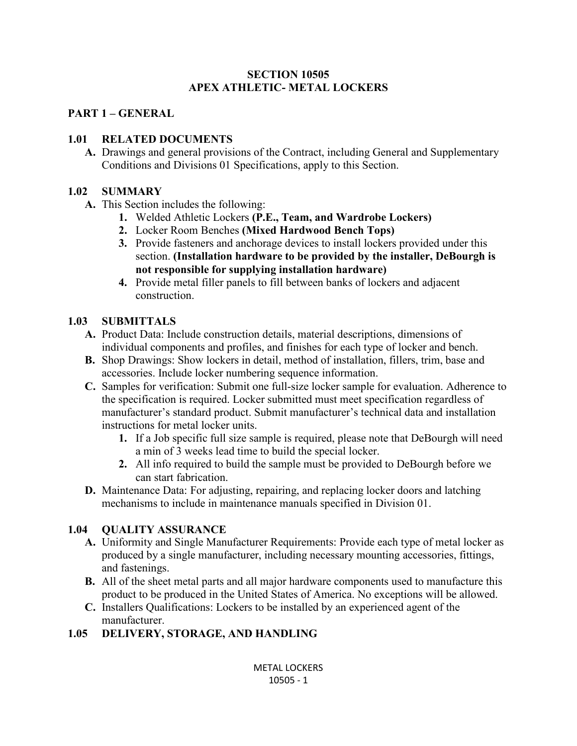#### **SECTION 10505 APEX ATHLETIC- METAL LOCKERS**

#### **PART 1 – GENERAL**

## **1.01 RELATED DOCUMENTS**

**A.** Drawings and general provisions of the Contract, including General and Supplementary Conditions and Divisions 01 Specifications, apply to this Section.

#### **1.02 SUMMARY**

- **A.** This Section includes the following:
	- **1.** Welded Athletic Lockers **(P.E., Team, and Wardrobe Lockers)**
	- **2.** Locker Room Benches **(Mixed Hardwood Bench Tops)**
	- **3.** Provide fasteners and anchorage devices to install lockers provided under this section. **(Installation hardware to be provided by the installer, DeBourgh is not responsible for supplying installation hardware)**
	- **4.** Provide metal filler panels to fill between banks of lockers and adjacent construction.

### **1.03 SUBMITTALS**

- **A.** Product Data: Include construction details, material descriptions, dimensions of individual components and profiles, and finishes for each type of locker and bench.
- **B.** Shop Drawings: Show lockers in detail, method of installation, fillers, trim, base and accessories. Include locker numbering sequence information.
- **C.** Samples for verification: Submit one full-size locker sample for evaluation. Adherence to the specification is required. Locker submitted must meet specification regardless of manufacturer's standard product. Submit manufacturer's technical data and installation instructions for metal locker units.
	- **1.** If a Job specific full size sample is required, please note that DeBourgh will need a min of 3 weeks lead time to build the special locker.
	- **2.** All info required to build the sample must be provided to DeBourgh before we can start fabrication.
- **D.** Maintenance Data: For adjusting, repairing, and replacing locker doors and latching mechanisms to include in maintenance manuals specified in Division 01.

## **1.04 QUALITY ASSURANCE**

- **A.** Uniformity and Single Manufacturer Requirements: Provide each type of metal locker as produced by a single manufacturer, including necessary mounting accessories, fittings, and fastenings.
- **B.** All of the sheet metal parts and all major hardware components used to manufacture this product to be produced in the United States of America. No exceptions will be allowed.
- **C.** Installers Qualifications: Lockers to be installed by an experienced agent of the manufacturer.

## **1.05 DELIVERY, STORAGE, AND HANDLING**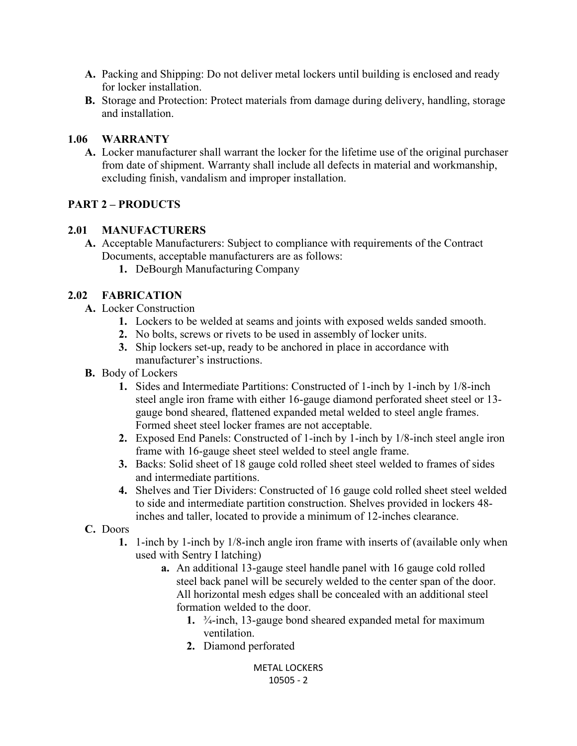- **A.** Packing and Shipping: Do not deliver metal lockers until building is enclosed and ready for locker installation.
- **B.** Storage and Protection: Protect materials from damage during delivery, handling, storage and installation.

#### **1.06 WARRANTY**

**A.** Locker manufacturer shall warrant the locker for the lifetime use of the original purchaser from date of shipment. Warranty shall include all defects in material and workmanship, excluding finish, vandalism and improper installation.

#### **PART 2 – PRODUCTS**

#### **2.01 MANUFACTURERS**

- **A.** Acceptable Manufacturers: Subject to compliance with requirements of the Contract Documents, acceptable manufacturers are as follows:
	- **1.** DeBourgh Manufacturing Company

#### **2.02 FABRICATION**

- **A.** Locker Construction
	- **1.** Lockers to be welded at seams and joints with exposed welds sanded smooth.
	- **2.** No bolts, screws or rivets to be used in assembly of locker units.
	- **3.** Ship lockers set-up, ready to be anchored in place in accordance with manufacturer's instructions.
- **B.** Body of Lockers
	- **1.** Sides and Intermediate Partitions: Constructed of 1-inch by 1-inch by 1/8-inch steel angle iron frame with either 16-gauge diamond perforated sheet steel or 13 gauge bond sheared, flattened expanded metal welded to steel angle frames. Formed sheet steel locker frames are not acceptable.
	- **2.** Exposed End Panels: Constructed of 1-inch by 1-inch by 1/8-inch steel angle iron frame with 16-gauge sheet steel welded to steel angle frame.
	- **3.** Backs: Solid sheet of 18 gauge cold rolled sheet steel welded to frames of sides and intermediate partitions.
	- **4.** Shelves and Tier Dividers: Constructed of 16 gauge cold rolled sheet steel welded to side and intermediate partition construction. Shelves provided in lockers 48 inches and taller, located to provide a minimum of 12-inches clearance.
- **C.** Doors
	- **1.** 1-inch by 1-inch by 1/8-inch angle iron frame with inserts of (available only when used with Sentry I latching)
		- **a.** An additional 13-gauge steel handle panel with 16 gauge cold rolled steel back panel will be securely welded to the center span of the door. All horizontal mesh edges shall be concealed with an additional steel formation welded to the door.
			- **1.** ¾-inch, 13-gauge bond sheared expanded metal for maximum ventilation.
			- **2.** Diamond perforated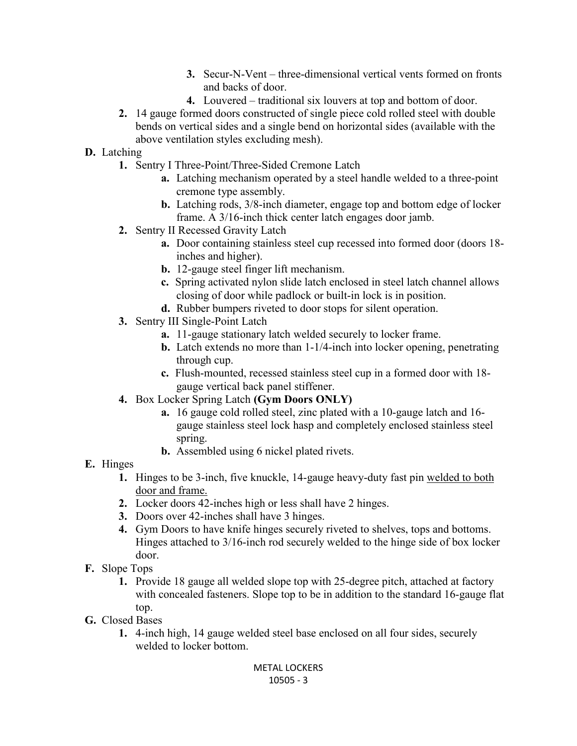- **3.** Secur-N-Vent three-dimensional vertical vents formed on fronts and backs of door.
- **4.** Louvered traditional six louvers at top and bottom of door.
- **2.** 14 gauge formed doors constructed of single piece cold rolled steel with double bends on vertical sides and a single bend on horizontal sides (available with the above ventilation styles excluding mesh).

## **D.** Latching

- **1.** Sentry I Three-Point/Three-Sided Cremone Latch
	- **a.** Latching mechanism operated by a steel handle welded to a three-point cremone type assembly.
	- **b.** Latching rods, 3/8-inch diameter, engage top and bottom edge of locker frame. A 3/16-inch thick center latch engages door jamb.
- **2.** Sentry II Recessed Gravity Latch
	- **a.** Door containing stainless steel cup recessed into formed door (doors 18 inches and higher).
	- **b.** 12-gauge steel finger lift mechanism.
	- **c.** Spring activated nylon slide latch enclosed in steel latch channel allows closing of door while padlock or built-in lock is in position.
	- **d.** Rubber bumpers riveted to door stops for silent operation.
- **3.** Sentry III Single-Point Latch
	- **a.** 11-gauge stationary latch welded securely to locker frame.
	- **b.** Latch extends no more than 1-1/4-inch into locker opening, penetrating through cup.
	- **c.** Flush-mounted, recessed stainless steel cup in a formed door with 18 gauge vertical back panel stiffener.
- **4.** Box Locker Spring Latch **(Gym Doors ONLY)**
	- **a.** 16 gauge cold rolled steel, zinc plated with a 10-gauge latch and 16 gauge stainless steel lock hasp and completely enclosed stainless steel spring.
	- **b.** Assembled using 6 nickel plated rivets.
- **E.** Hinges
	- **1.** Hinges to be 3-inch, five knuckle, 14-gauge heavy-duty fast pin welded to both door and frame.
	- **2.** Locker doors 42-inches high or less shall have 2 hinges.
	- **3.** Doors over 42-inches shall have 3 hinges.
	- **4.** Gym Doors to have knife hinges securely riveted to shelves, tops and bottoms. Hinges attached to 3/16-inch rod securely welded to the hinge side of box locker door.
- **F.** Slope Tops
	- **1.** Provide 18 gauge all welded slope top with 25-degree pitch, attached at factory with concealed fasteners. Slope top to be in addition to the standard 16-gauge flat top.
- **G.** Closed Bases
	- **1.** 4-inch high, 14 gauge welded steel base enclosed on all four sides, securely welded to locker bottom.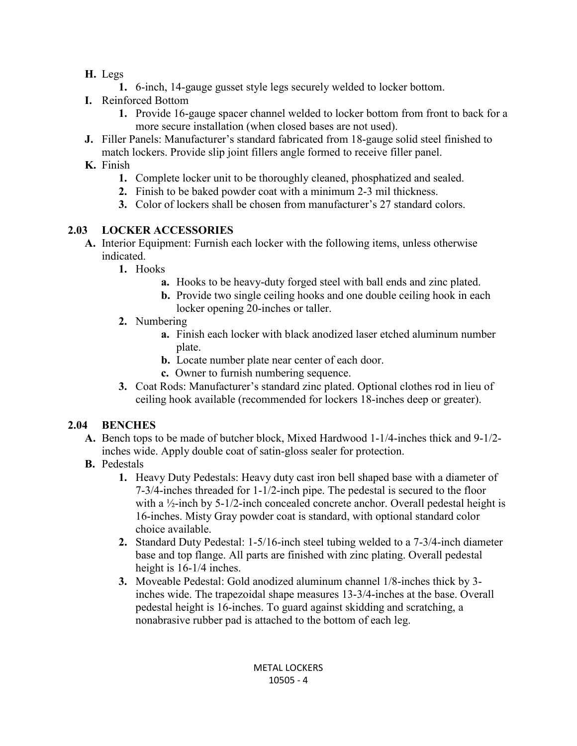- **H.** Legs
	- **1.** 6-inch, 14-gauge gusset style legs securely welded to locker bottom.
- **I.** Reinforced Bottom
	- **1.** Provide 16-gauge spacer channel welded to locker bottom from front to back for a more secure installation (when closed bases are not used).
- **J.** Filler Panels: Manufacturer's standard fabricated from 18-gauge solid steel finished to match lockers. Provide slip joint fillers angle formed to receive filler panel.
- **K.** Finish
	- **1.** Complete locker unit to be thoroughly cleaned, phosphatized and sealed.
	- **2.** Finish to be baked powder coat with a minimum 2-3 mil thickness.
	- **3.** Color of lockers shall be chosen from manufacturer's 27 standard colors.

## **2.03 LOCKER ACCESSORIES**

- **A.** Interior Equipment: Furnish each locker with the following items, unless otherwise indicated.
	- **1.** Hooks
		- **a.** Hooks to be heavy-duty forged steel with ball ends and zinc plated.
		- **b.** Provide two single ceiling hooks and one double ceiling hook in each locker opening 20-inches or taller.
	- **2.** Numbering
		- **a.** Finish each locker with black anodized laser etched aluminum number plate.
		- **b.** Locate number plate near center of each door.
		- **c.** Owner to furnish numbering sequence.
	- **3.** Coat Rods: Manufacturer's standard zinc plated. Optional clothes rod in lieu of ceiling hook available (recommended for lockers 18-inches deep or greater).

# **2.04 BENCHES**

- **A.** Bench tops to be made of butcher block, Mixed Hardwood 1-1/4-inches thick and 9-1/2 inches wide. Apply double coat of satin-gloss sealer for protection.
- **B.** Pedestals
	- **1.** Heavy Duty Pedestals: Heavy duty cast iron bell shaped base with a diameter of 7-3/4-inches threaded for 1-1/2-inch pipe. The pedestal is secured to the floor with a  $\frac{1}{2}$ -inch by 5-1/2-inch concealed concrete anchor. Overall pedestal height is 16-inches. Misty Gray powder coat is standard, with optional standard color choice available.
	- **2.** Standard Duty Pedestal: 1-5/16-inch steel tubing welded to a 7-3/4-inch diameter base and top flange. All parts are finished with zinc plating. Overall pedestal height is  $16-1/4$  inches.
	- **3.** Moveable Pedestal: Gold anodized aluminum channel 1/8-inches thick by 3 inches wide. The trapezoidal shape measures 13-3/4-inches at the base. Overall pedestal height is 16-inches. To guard against skidding and scratching, a nonabrasive rubber pad is attached to the bottom of each leg.